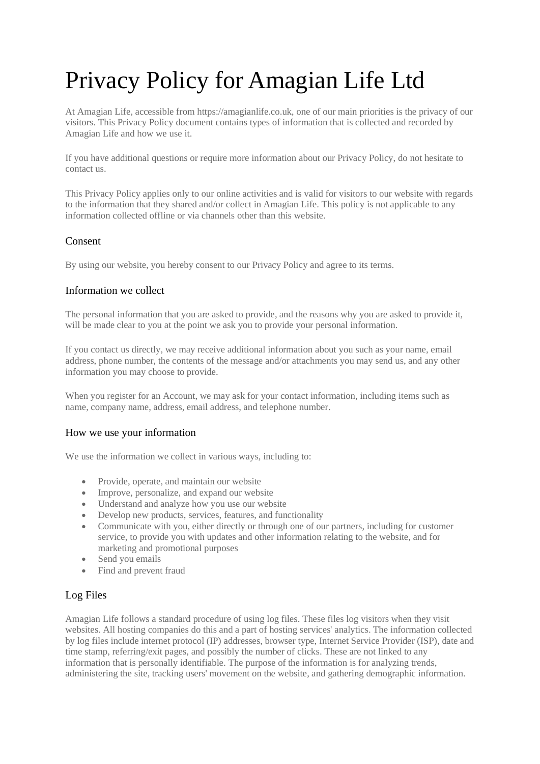# Privacy Policy for Amagian Life Ltd

At Amagian Life, accessible from https://amagianlife.co.uk, one of our main priorities is the privacy of our visitors. This Privacy Policy document contains types of information that is collected and recorded by Amagian Life and how we use it.

If you have additional questions or require more information about our Privacy Policy, do not hesitate to contact us.

This Privacy Policy applies only to our online activities and is valid for visitors to our website with regards to the information that they shared and/or collect in Amagian Life. This policy is not applicable to any information collected offline or via channels other than this website.

### Consent

By using our website, you hereby consent to our Privacy Policy and agree to its terms.

### Information we collect

The personal information that you are asked to provide, and the reasons why you are asked to provide it, will be made clear to you at the point we ask you to provide your personal information.

If you contact us directly, we may receive additional information about you such as your name, email address, phone number, the contents of the message and/or attachments you may send us, and any other information you may choose to provide.

When you register for an Account, we may ask for your contact information, including items such as name, company name, address, email address, and telephone number.

#### How we use your information

We use the information we collect in various ways, including to:

- Provide, operate, and maintain our website
- Improve, personalize, and expand our website
- Understand and analyze how you use our website
- Develop new products, services, features, and functionality
- Communicate with you, either directly or through one of our partners, including for customer service, to provide you with updates and other information relating to the website, and for marketing and promotional purposes
- Send you emails
- Find and prevent fraud

# Log Files

Amagian Life follows a standard procedure of using log files. These files log visitors when they visit websites. All hosting companies do this and a part of hosting services' analytics. The information collected by log files include internet protocol (IP) addresses, browser type, Internet Service Provider (ISP), date and time stamp, referring/exit pages, and possibly the number of clicks. These are not linked to any information that is personally identifiable. The purpose of the information is for analyzing trends, administering the site, tracking users' movement on the website, and gathering demographic information.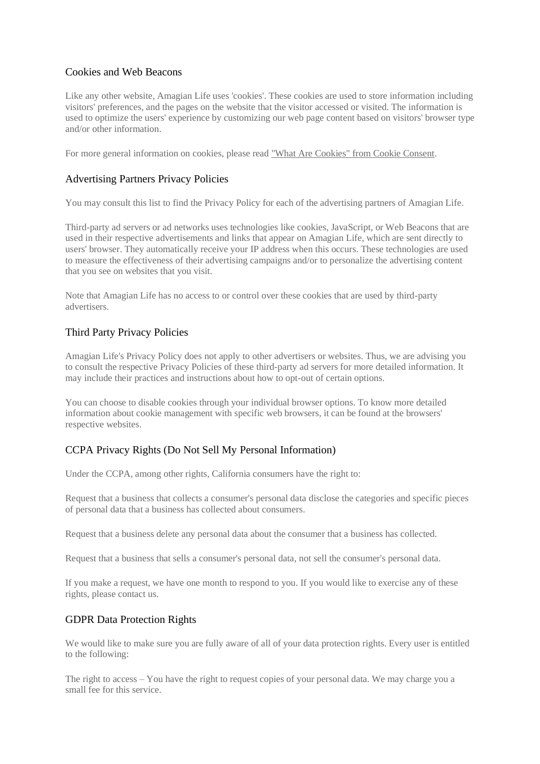## Cookies and Web Beacons

Like any other website, Amagian Life uses 'cookies'. These cookies are used to store information including visitors' preferences, and the pages on the website that the visitor accessed or visited. The information is used to optimize the users' experience by customizing our web page content based on visitors' browser type and/or other information.

For more general information on cookies, please read ["What Are Cookies" from Cookie Consent.](https://www.privacypolicyonline.com/what-are-cookies/)

## Advertising Partners Privacy Policies

You may consult this list to find the Privacy Policy for each of the advertising partners of Amagian Life.

Third-party ad servers or ad networks uses technologies like cookies, JavaScript, or Web Beacons that are used in their respective advertisements and links that appear on Amagian Life, which are sent directly to users' browser. They automatically receive your IP address when this occurs. These technologies are used to measure the effectiveness of their advertising campaigns and/or to personalize the advertising content that you see on websites that you visit.

Note that Amagian Life has no access to or control over these cookies that are used by third-party advertisers.

### Third Party Privacy Policies

Amagian Life's Privacy Policy does not apply to other advertisers or websites. Thus, we are advising you to consult the respective Privacy Policies of these third-party ad servers for more detailed information. It may include their practices and instructions about how to opt-out of certain options.

You can choose to disable cookies through your individual browser options. To know more detailed information about cookie management with specific web browsers, it can be found at the browsers' respective websites.

# CCPA Privacy Rights (Do Not Sell My Personal Information)

Under the CCPA, among other rights, California consumers have the right to:

Request that a business that collects a consumer's personal data disclose the categories and specific pieces of personal data that a business has collected about consumers.

Request that a business delete any personal data about the consumer that a business has collected.

Request that a business that sells a consumer's personal data, not sell the consumer's personal data.

If you make a request, we have one month to respond to you. If you would like to exercise any of these rights, please contact us.

### GDPR Data Protection Rights

We would like to make sure you are fully aware of all of your data protection rights. Every user is entitled to the following:

The right to access – You have the right to request copies of your personal data. We may charge you a small fee for this service.